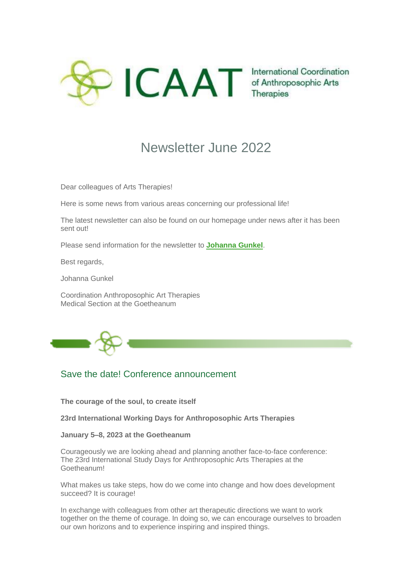

## Newsletter June 2022

Dear colleagues of Arts Therapies!

Here is some news from various areas concerning our professional life!

The latest newsletter can also be found on our homepage under news after it has been sent out!

Please send information for the newsletter to **[Johanna Gunkel](mailto:johanna.gunkel@medsektion-ikam.org)**.

Best regards,

Johanna Gunkel

Coordination Anthroposophic Art Therapies Medical Section at the Goetheanum



## Save the date! Conference announcement

**The courage of the soul, to create itself**

**23rd International Working Days for Anthroposophic Arts Therapies**

**January 5–8, 2023 at the Goetheanum**

Courageously we are looking ahead and planning another face-to-face conference: The 23rd International Study Days for Anthroposophic Arts Therapies at the Goetheanum!

What makes us take steps, how do we come into change and how does development succeed? It is courage!

In exchange with colleagues from other art therapeutic directions we want to work together on the theme of courage. In doing so, we can encourage ourselves to broaden our own horizons and to experience inspiring and inspired things.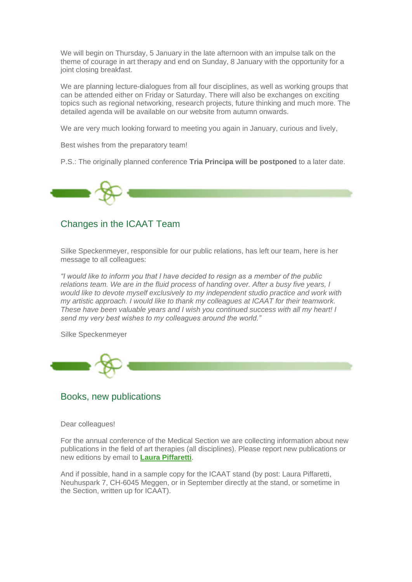We will begin on Thursday, 5 January in the late afternoon with an impulse talk on the theme of courage in art therapy and end on Sunday, 8 January with the opportunity for a joint closing breakfast.

We are planning lecture-dialogues from all four disciplines, as well as working groups that can be attended either on Friday or Saturday. There will also be exchanges on exciting topics such as regional networking, research projects, future thinking and much more. The detailed agenda will be available on our website from autumn onwards.

We are very much looking forward to meeting you again in January, curious and lively,

Best wishes from the preparatory team!

P.S.: The originally planned conference **Tria Principa will be postponed** to a later date.



## Changes in the ICAAT Team

Silke Speckenmeyer, responsible for our public relations, has left our team, here is her message to all colleagues:

*"I would like to inform you that I have decided to resign as a member of the public relations team. We are in the fluid process of handing over. After a busy five years, I would like to devote myself exclusively to my independent studio practice and work with my artistic approach. I would like to thank my colleagues at ICAAT for their teamwork. These have been valuable years and I wish you continued success with all my heart! I send my very best wishes to my colleagues around the world."*

Silke Speckenmeyer

Books, new publications

Dear colleagues!

For the annual conference of the Medical Section we are collecting information about new publications in the field of art therapies (all disciplines). Please report new publications or new editions by email to **[Laura Piffaretti](mailto:laura.piffaretti@medsektion-ikam.org)**.

And if possible, hand in a sample copy for the ICAAT stand (by post: Laura Piffaretti, Neuhuspark 7, CH-6045 Meggen, or in September directly at the stand, or sometime in the Section, written up for ICAAT).